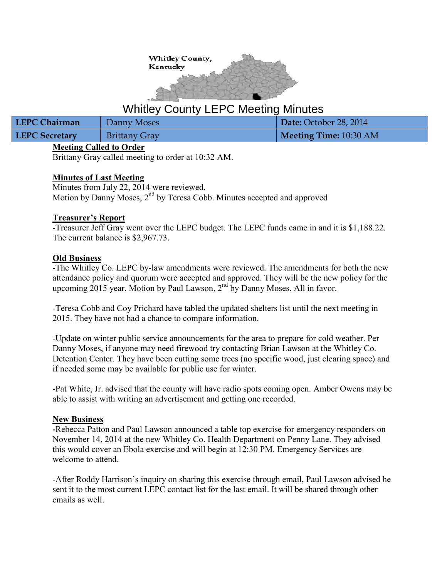

# Whitley County LEPC Meeting Minutes

| LEPC Chairman         | Danny Moses          | Date: October 28, 2014 |
|-----------------------|----------------------|------------------------|
| <b>LEPC Secretary</b> | <b>Brittany Gray</b> | Meeting Time: 10:30 AM |

## **Meeting Called to Order**

Brittany Gray called meeting to order at 10:32 AM.

## **Minutes of Last Meeting**

Minutes from July 22, 2014 were reviewed. Motion by Danny Moses, 2<sup>nd</sup> by Teresa Cobb. Minutes accepted and approved

### **Treasurer's Report**

-Treasurer Jeff Gray went over the LEPC budget. The LEPC funds came in and it is \$1,188.22. The current balance is \$2,967.73.

### **Old Business**

-The Whitley Co. LEPC by-law amendments were reviewed. The amendments for both the new attendance policy and quorum were accepted and approved. They will be the new policy for the upcoming  $2015$  year. Motion by Paul Lawson,  $2<sup>nd</sup>$  by Danny Moses. All in favor.

-Teresa Cobb and Coy Prichard have tabled the updated shelters list until the next meeting in 2015. They have not had a chance to compare information.

-Update on winter public service announcements for the area to prepare for cold weather. Per Danny Moses, if anyone may need firewood try contacting Brian Lawson at the Whitley Co. Detention Center. They have been cutting some trees (no specific wood, just clearing space) and if needed some may be available for public use for winter.

-Pat White, Jr. advised that the county will have radio spots coming open. Amber Owens may be able to assist with writing an advertisement and getting one recorded.

## **New Business**

**-**Rebecca Patton and Paul Lawson announced a table top exercise for emergency responders on November 14, 2014 at the new Whitley Co. Health Department on Penny Lane. They advised this would cover an Ebola exercise and will begin at 12:30 PM. Emergency Services are welcome to attend.

-After Roddy Harrison's inquiry on sharing this exercise through email, Paul Lawson advised he sent it to the most current LEPC contact list for the last email. It will be shared through other emails as well.